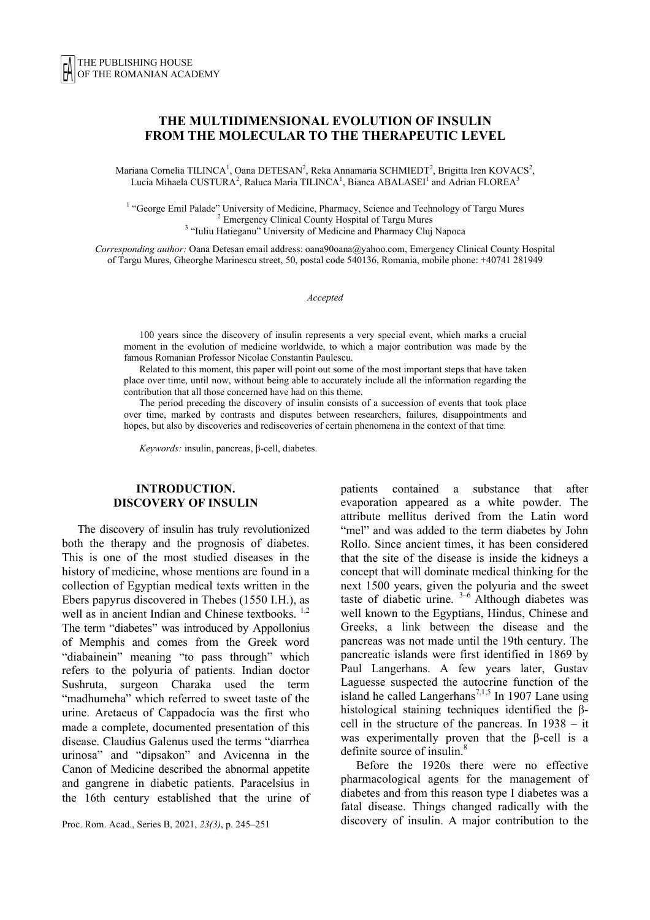# **THE MULTIDIMENSIONAL EVOLUTION OF INSULIN FROM THE MOLECULAR TO THE THERAPEUTIC LEVEL**

Mariana Cornelia TILINCA<sup>1</sup>, Oana DETESAN<sup>2</sup>, Reka Annamaria SCHMIEDT<sup>2</sup>, Brigitta Iren KOVACS<sup>2</sup>, Lucia Mihaela CUSTURA<sup>2</sup>, Raluca Maria TILINCA<sup>1</sup>, Bianca ABALASEI<sup>1</sup> and Adrian FLOREA<sup>3</sup>

<sup>1</sup> "George Emil Palade" University of Medicine, Pharmacy, Science and Technology of Targu Mures <sup>2</sup> Emergency Clinical County Hospital of Targu Mures <sup>3</sup> "Iuliu Hatieganu" University of Medicine and Pharmacy Cluj Napoca

*Corresponding author:* Oana Detesan email address: oana90oana@yahoo.com, Emergency Clinical County Hospital of Targu Mures, Gheorghe Marinescu street, 50, postal code 540136, Romania, mobile phone: +40741 281949

*Accepted*

100 years since the discovery of insulin represents a very special event, which marks a crucial moment in the evolution of medicine worldwide, to which a major contribution was made by the famous Romanian Professor Nicolae Constantin Paulescu.

Related to this moment, this paper will point out some of the most important steps that have taken place over time, until now, without being able to accurately include all the information regarding the contribution that all those concerned have had on this theme.

The period preceding the discovery of insulin consists of a succession of events that took place over time, marked by contrasts and disputes between researchers, failures, disappointments and hopes, but also by discoveries and rediscoveries of certain phenomena in the context of that time.

*Keywords:* insulin, pancreas, β-cell, diabetes.

### **INTRODUCTION. DISCOVERY OF INSULIN**

The discovery of insulin has truly revolutionized both the therapy and the prognosis of diabetes. This is one of the most studied diseases in the history of medicine, whose mentions are found in a collection of Egyptian medical texts written in the Ebers papyrus discovered in Thebes (1550 I.H.), as well as in ancient Indian and Chinese textbooks.<sup>1,2</sup> The term "diabetes" was introduced by Appollonius of Memphis and comes from the Greek word "diabainein" meaning "to pass through" which refers to the polyuria of patients. Indian doctor Sushruta, surgeon Charaka used the term "madhumeha" which referred to sweet taste of the urine. Aretaeus of Cappadocia was the first who made a complete, documented presentation of this disease. Claudius Galenus used the terms "diarrhea urinosa" and "dipsakon" and Avicenna in the Canon of Medicine described the abnormal appetite and gangrene in diabetic patients. Paracelsius in the 16th century established that the urine of

Proc. Rom. Acad., Series B, 2021, *23(3)*, p. 245–251

patients contained a substance that after evaporation appeared as a white powder. The attribute mellitus derived from the Latin word "mel" and was added to the term diabetes by John Rollo. Since ancient times, it has been considered that the site of the disease is inside the kidneys a concept that will dominate medical thinking for the next 1500 years, given the polyuria and the sweet taste of diabetic urine.  $3-6$  Although diabetes was well known to the Egyptians, Hindus, Chinese and Greeks, a link between the disease and the pancreas was not made until the 19th century. The pancreatic islands were first identified in 1869 by Paul Langerhans. A few years later, Gustav Laguesse suspected the autocrine function of the island he called Langerhans<sup>7,1,5</sup> In 1907 Lane using histological staining techniques identified the βcell in the structure of the pancreas. In 1938 – it was experimentally proven that the β-cell is a definite source of insulin.<sup>8</sup>

Before the 1920s there were no effective pharmacological agents for the management of diabetes and from this reason type I diabetes was a fatal disease. Things changed radically with the discovery of insulin. A major contribution to the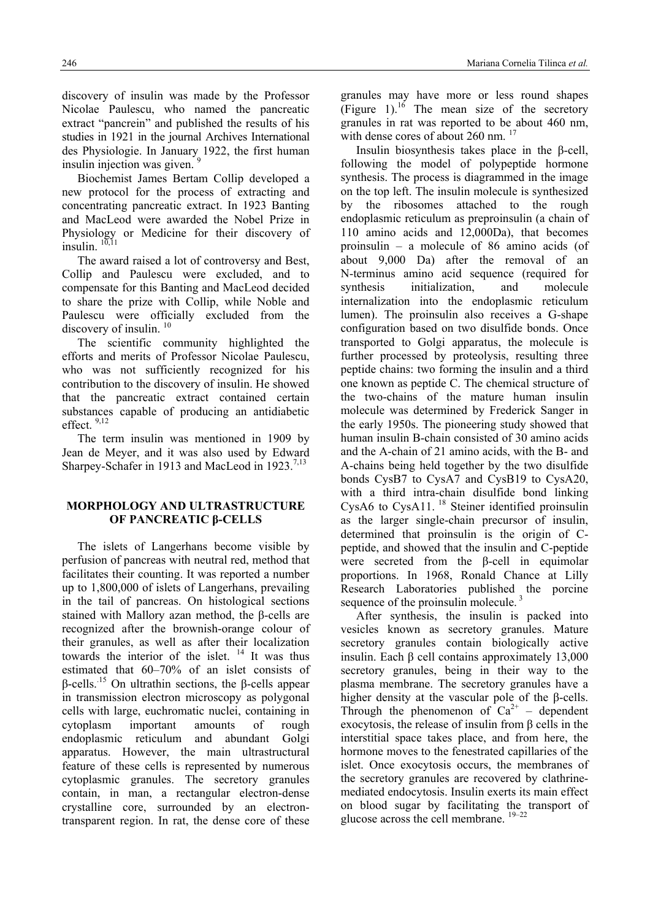discovery of insulin was made by the Professor Nicolae Paulescu, who named the pancreatic extract "pancrein" and published the results of his studies in 1921 in the journal Archives International des Physiologie. In January 1922, the first human insulin injection was given.  $\frac{1}{2}$ 

Biochemist James Bertam Collip developed a new protocol for the process of extracting and concentrating pancreatic extract. In 1923 Banting and MacLeod were awarded the Nobel Prize in Physiology or Medicine for their discovery of insulin.  $10,11$ 

The award raised a lot of controversy and Best, Collip and Paulescu were excluded, and to compensate for this Banting and MacLeod decided to share the prize with Collip, while Noble and Paulescu were officially excluded from the discovery of insulin.<sup>10</sup>

The scientific community highlighted the efforts and merits of Professor Nicolae Paulescu, who was not sufficiently recognized for his contribution to the discovery of insulin. He showed that the pancreatic extract contained certain substances capable of producing an antidiabetic effect. 9,12

The term insulin was mentioned in 1909 by Jean de Meyer, and it was also used by Edward Sharpey-Schafer in 1913 and MacLeod in 1923.<sup>7,13</sup>

# **MORPHOLOGY AND ULTRASTRUCTURE OF PANCREATIC β-CELLS**

The islets of Langerhans become visible by perfusion of pancreas with neutral red, method that facilitates their counting. It was reported a number up to 1,800,000 of islets of Langerhans, prevailing in the tail of pancreas. On histological sections stained with Mallory azan method, the β-cells are recognized after the brownish-orange colour of their granules, as well as after their localization towards the interior of the islet.  $14$  It was thus estimated that 60–70% of an islet consists of β-cells..15 On ultrathin sections, the β-cells appear in transmission electron microscopy as polygonal cells with large, euchromatic nuclei, containing in cytoplasm important amounts of rough endoplasmic reticulum and abundant Golgi apparatus. However, the main ultrastructural feature of these cells is represented by numerous cytoplasmic granules. The secretory granules contain, in man, a rectangular electron-dense crystalline core, surrounded by an electrontransparent region. In rat, the dense core of these granules may have more or less round shapes (Figure 1).<sup>16</sup> The mean size of the secretory granules in rat was reported to be about 460 nm, with dense cores of about 260 nm.<sup>17</sup>

Insulin biosynthesis takes place in the β-cell, following the model of polypeptide hormone synthesis. The process is diagrammed in the image on the top left. The insulin molecule is synthesized by the ribosomes attached to the rough endoplasmic reticulum as preproinsulin (a chain of 110 amino acids and 12,000Da), that becomes proinsulin – a molecule of 86 amino acids (of about 9,000 Da) after the removal of an N-terminus amino acid sequence (required for synthesis initialization, and molecule internalization into the endoplasmic reticulum lumen). The proinsulin also receives a G-shape configuration based on two disulfide bonds. Once transported to Golgi apparatus, the molecule is further processed by proteolysis, resulting three peptide chains: two forming the insulin and a third one known as peptide C. The chemical structure of the two-chains of the mature human insulin molecule was determined by Frederick Sanger in the early 1950s. The pioneering study showed that human insulin B-chain consisted of 30 amino acids and the A-chain of 21 amino acids, with the B- and A-chains being held together by the two disulfide bonds CysB7 to CysA7 and CysB19 to CysA20, with a third intra-chain disulfide bond linking CysA6 to CysA11.<sup>18</sup> Steiner identified proinsulin as the larger single-chain precursor of insulin, determined that proinsulin is the origin of Cpeptide, and showed that the insulin and C-peptide were secreted from the β-cell in equimolar proportions. In 1968, Ronald Chance at Lilly Research Laboratories published the porcine sequence of the proinsulin molecule.<sup>3</sup>

After synthesis, the insulin is packed into vesicles known as secretory granules. Mature secretory granules contain biologically active insulin. Each β cell contains approximately 13,000 secretory granules, being in their way to the plasma membrane. The secretory granules have a higher density at the vascular pole of the β-cells. Through the phenomenon of  $Ca^{2+}$  – dependent exocytosis, the release of insulin from β cells in the interstitial space takes place, and from here, the hormone moves to the fenestrated capillaries of the islet. Once exocytosis occurs, the membranes of the secretory granules are recovered by clathrinemediated endocytosis. Insulin exerts its main effect on blood sugar by facilitating the transport of glucose across the cell membrane. 19–22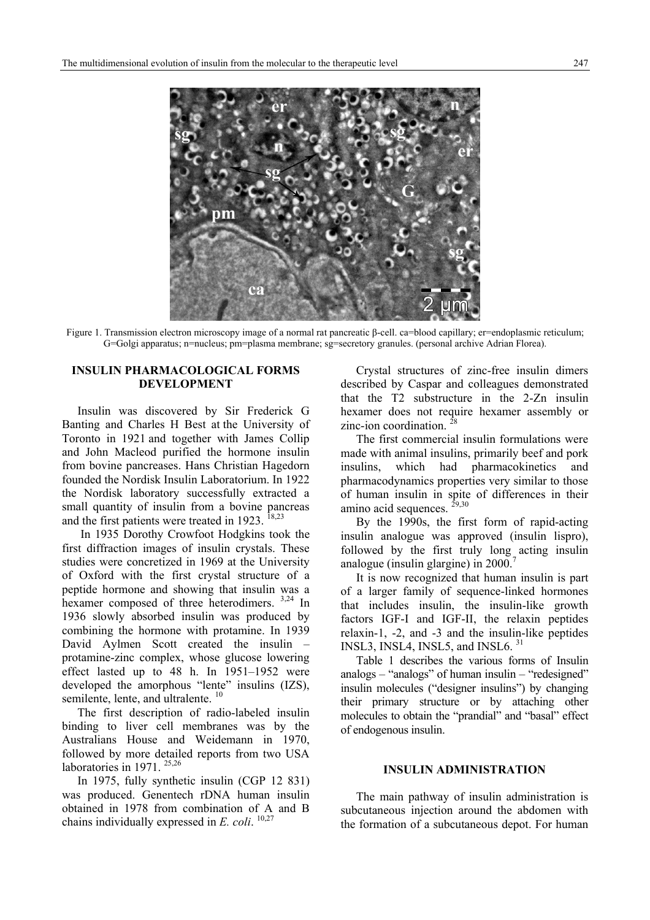

Figure 1. Transmission electron microscopy image of a normal rat pancreatic β-cell. ca=blood capillary; er=endoplasmic reticulum; G=Golgi apparatus; n=nucleus; pm=plasma membrane; sg=secretory granules. (personal archive Adrian Florea).

### **INSULIN PHARMACOLOGICAL FORMS DEVELOPMENT**

Insulin was discovered by Sir Frederick G Banting and Charles H Best at the University of Toronto in 1921 and together with James Collip and John Macleod purified the hormone insulin from bovine pancreases. Hans Christian Hagedorn founded the Nordisk Insulin Laboratorium. In 1922 the Nordisk laboratory successfully extracted a small quantity of insulin from a bovine pancreas and the first patients were treated in 1923.  $18,23$ 

 In 1935 Dorothy Crowfoot Hodgkins took the first diffraction images of insulin crystals. These studies were concretized in 1969 at the University of Oxford with the first crystal structure of a peptide hormone and showing that insulin was a hexamer composed of three heterodimers. 3,24 In 1936 slowly absorbed insulin was produced by combining the hormone with protamine. In 1939 David Aylmen Scott created the insulin – protamine-zinc complex, whose glucose lowering effect lasted up to 48 h. In 1951–1952 were developed the amorphous "lente" insulins (IZS), semilente, lente, and ultralente.<sup>10</sup>

The first description of radio-labeled insulin binding to liver cell membranes was by the Australians House and Weidemann in 1970, followed by more detailed reports from two USA laboratories in 1971.<sup>25,26</sup>

In 1975, fully synthetic insulin (CGP 12 831) was produced. Genentech rDNA human insulin obtained in 1978 from combination of A and B chains individually expressed in *E. coli.* <sup>10,27</sup>

Crystal structures of zinc-free insulin dimers described by Caspar and colleagues demonstrated that the T2 substructure in the 2-Zn insulin hexamer does not require hexamer assembly or zinc-ion coordination.  $28$ 

The first commercial insulin formulations were made with animal insulins, primarily beef and pork insulins, which had pharmacokinetics and pharmacodynamics properties very similar to those of human insulin in spite of differences in their amino acid sequences.  $29,30$ 

By the 1990s, the first form of rapid-acting insulin analogue was approved (insulin lispro), followed by the first truly long acting insulin analogue (insulin glargine) in  $2000$ .

It is now recognized that human insulin is part of a larger family of sequence-linked hormones that includes insulin, the insulin-like growth factors IGF-I and IGF-II, the relaxin peptides relaxin-1, -2, and -3 and the insulin-like peptides INSL3, INSL4, INSL5, and INSL6. 31

Table 1 describes the various forms of Insulin analogs – "analogs" of human insulin – "redesigned" insulin molecules ("designer insulins") by changing their primary structure or by attaching other molecules to obtain the "prandial" and "basal" effect of endogenous insulin.

### **INSULIN ADMINISTRATION**

The main pathway of insulin administration is subcutaneous injection around the abdomen with the formation of a subcutaneous depot. For human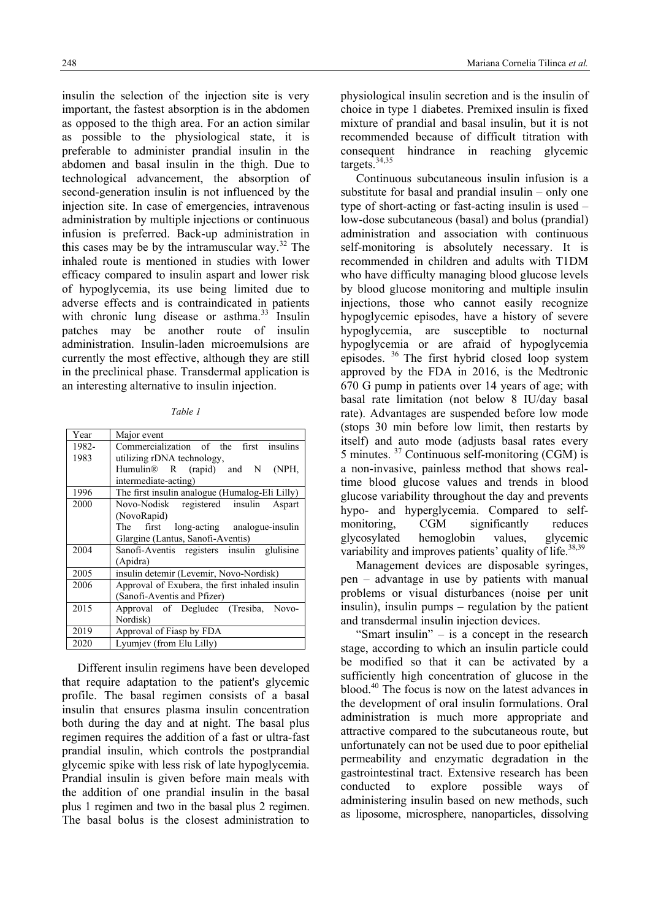insulin the selection of the injection site is very important, the fastest absorption is in the abdomen as opposed to the thigh area. For an action similar as possible to the physiological state, it is preferable to administer prandial insulin in the abdomen and basal insulin in the thigh. Due to technological advancement, the absorption of second-generation insulin is not influenced by the injection site. In case of emergencies, intravenous administration by multiple injections or continuous infusion is preferred. Back-up administration in this cases may be by the intramuscular way.<sup>32</sup> The inhaled route is mentioned in studies with lower efficacy compared to insulin aspart and lower risk of hypoglycemia, its use being limited due to adverse effects and is contraindicated in patients with chronic lung disease or asthma. $33$  Insulin patches may be another route of insulin administration. Insulin-laden microemulsions are currently the most effective, although they are still in the preclinical phase. Transdermal application is an interesting alternative to insulin injection.

*Table 1* 

| Year  | Major event                                    |
|-------|------------------------------------------------|
| 1982- | Commercialization of the first insulins        |
| 1983  | utilizing rDNA technology,                     |
|       | Humulin <sup>®</sup> R (rapid) and N (NPH,     |
|       | intermediate-acting)                           |
| 1996  | The first insulin analogue (Humalog-Eli Lilly) |
| 2000  | Novo-Nodisk registered insulin<br>Aspart       |
|       | (NovoRapid)                                    |
|       | first long-acting analogue-insulin<br>The      |
|       | Glargine (Lantus, Sanofi-Aventis)              |
| 2004  | Sanofi-Aventis registers insulin glulisine     |
|       | (Apidra)                                       |
| 2005  | insulin detemir (Levemir, Novo-Nordisk)        |
| 2006  | Approval of Exubera, the first inhaled insulin |
|       | (Sanofi-Aventis and Pfizer)                    |
| 2015  | Approval of Degludec (Tresiba, Novo-           |
|       | Nordisk)                                       |
| 2019  | Approval of Fiasp by FDA                       |
| 2020  | Lyumjev (from Elu Lilly)                       |

Different insulin regimens have been developed that require adaptation to the patient's glycemic profile. The basal regimen consists of a basal insulin that ensures plasma insulin concentration both during the day and at night. The basal plus regimen requires the addition of a fast or ultra-fast prandial insulin, which controls the postprandial glycemic spike with less risk of late hypoglycemia. Prandial insulin is given before main meals with the addition of one prandial insulin in the basal plus 1 regimen and two in the basal plus 2 regimen. The basal bolus is the closest administration to

physiological insulin secretion and is the insulin of choice in type 1 diabetes. Premixed insulin is fixed mixture of prandial and basal insulin, but it is not recommended because of difficult titration with consequent hindrance in reaching glycemic targets.34,35

Continuous subcutaneous insulin infusion is a substitute for basal and prandial insulin – only one type of short-acting or fast-acting insulin is used – low-dose subcutaneous (basal) and bolus (prandial) administration and association with continuous self-monitoring is absolutely necessary. It is recommended in children and adults with T1DM who have difficulty managing blood glucose levels by blood glucose monitoring and multiple insulin injections, those who cannot easily recognize hypoglycemic episodes, have a history of severe hypoglycemia, are susceptible to nocturnal hypoglycemia or are afraid of hypoglycemia episodes. 36 The first hybrid closed loop system approved by the FDA in 2016, is the Medtronic 670 G pump in patients over 14 years of age; with basal rate limitation (not below 8 IU/day basal rate). Advantages are suspended before low mode (stops 30 min before low limit, then restarts by itself) and auto mode (adjusts basal rates every 5 minutes. 37 Continuous self-monitoring (CGM) is a non-invasive, painless method that shows realtime blood glucose values and trends in blood glucose variability throughout the day and prevents hypo- and hyperglycemia. Compared to selfmonitoring, CGM significantly reduces glycosylated hemoglobin values, glycemic variability and improves patients' quality of life.<sup>38,39</sup>

Management devices are disposable syringes, pen – advantage in use by patients with manual problems or visual disturbances (noise per unit insulin), insulin pumps – regulation by the patient and transdermal insulin injection devices.

"Smart insulin" – is a concept in the research stage, according to which an insulin particle could be modified so that it can be activated by a sufficiently high concentration of glucose in the blood.40 The focus is now on the latest advances in the development of oral insulin formulations. Oral administration is much more appropriate and attractive compared to the subcutaneous route, but unfortunately can not be used due to poor epithelial permeability and enzymatic degradation in the gastrointestinal tract. Extensive research has been conducted to explore possible ways of administering insulin based on new methods, such as liposome, microsphere, nanoparticles, dissolving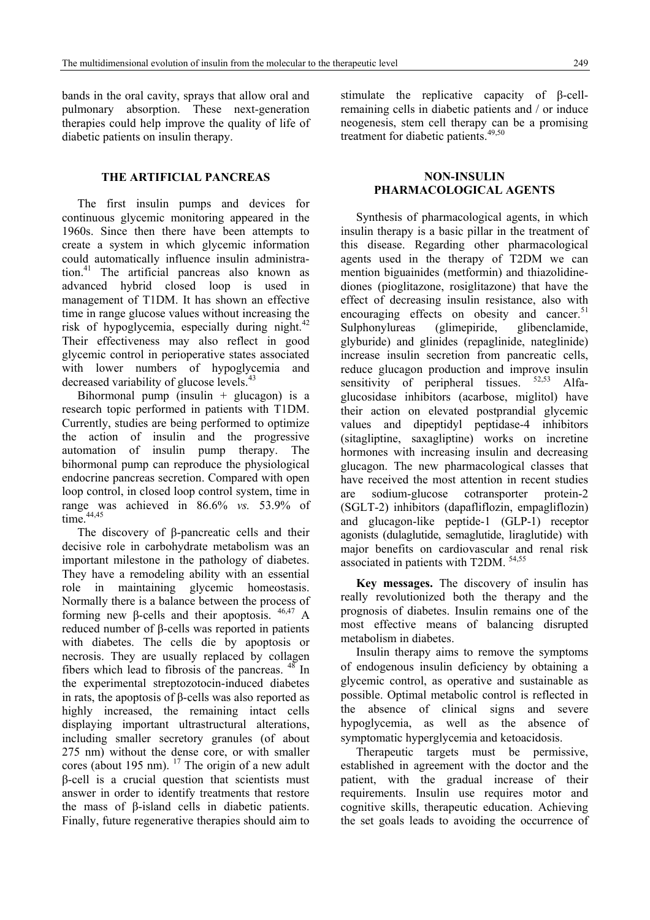bands in the oral cavity, sprays that allow oral and pulmonary absorption. These next-generation therapies could help improve the quality of life of diabetic patients on insulin therapy.

# **THE ARTIFICIAL PANCREAS**

The first insulin pumps and devices for continuous glycemic monitoring appeared in the 1960s. Since then there have been attempts to create a system in which glycemic information could automatically influence insulin administration.41 The artificial pancreas also known as advanced hybrid closed loop is used in management of T1DM. It has shown an effective time in range glucose values without increasing the risk of hypoglycemia, especially during night. $42$ Their effectiveness may also reflect in good glycemic control in perioperative states associated with lower numbers of hypoglycemia and decreased variability of glucose levels.<sup>4</sup>

Bihormonal pump (insulin  $+$  glucagon) is a research topic performed in patients with T1DM. Currently, studies are being performed to optimize the action of insulin and the progressive automation of insulin pump therapy. The bihormonal pump can reproduce the physiological endocrine pancreas secretion. Compared with open loop control, in closed loop control system, time in range was achieved in 86.6% *vs.* 53.9% of time  $44,45$ 

The discovery of β-pancreatic cells and their decisive role in carbohydrate metabolism was an important milestone in the pathology of diabetes. They have a remodeling ability with an essential role in maintaining glycemic homeostasis. Normally there is a balance between the process of forming new β-cells and their apoptosis.  $46,47$  A reduced number of β-cells was reported in patients with diabetes. The cells die by apoptosis or necrosis. They are usually replaced by collagen fibers which lead to fibrosis of the pancreas. 48 In the experimental streptozotocin-induced diabetes in rats, the apoptosis of β-cells was also reported as highly increased, the remaining intact cells displaying important ultrastructural alterations, including smaller secretory granules (of about 275 nm) without the dense core, or with smaller cores (about 195 nm).  $^{17}$  The origin of a new adult β-cell is a crucial question that scientists must answer in order to identify treatments that restore the mass of β-island cells in diabetic patients. Finally, future regenerative therapies should aim to

stimulate the replicative capacity of β-cellremaining cells in diabetic patients and / or induce neogenesis, stem cell therapy can be a promising treatment for diabetic patients.49,50

# **NON-INSULIN PHARMACOLOGICAL AGENTS**

Synthesis of pharmacological agents, in which insulin therapy is a basic pillar in the treatment of this disease. Regarding other pharmacological agents used in the therapy of T2DM we can mention biguainides (metformin) and thiazolidinediones (pioglitazone, rosiglitazone) that have the effect of decreasing insulin resistance, also with encouraging effects on obesity and cancer.<sup>51</sup> Sulphonylureas (glimepiride, glibenclamide, glyburide) and glinides (repaglinide, nateglinide) increase insulin secretion from pancreatic cells, reduce glucagon production and improve insulin<br>sensitivity of nerinheral tissues.  $52,53$  Alfasensitivity of peripheral tissues. glucosidase inhibitors (acarbose, miglitol) have their action on elevated postprandial glycemic values and dipeptidyl peptidase-4 inhibitors (sitagliptine, saxagliptine) works on incretine hormones with increasing insulin and decreasing glucagon. The new pharmacological classes that have received the most attention in recent studies are sodium-glucose cotransporter protein-2 (SGLT-2) inhibitors (dapafliflozin, empagliflozin) and glucagon-like peptide-1 (GLP-1) receptor agonists (dulaglutide, semaglutide, liraglutide) with major benefits on cardiovascular and renal risk associated in patients with T2DM. 54,55

**Key messages.** The discovery of insulin has really revolutionized both the therapy and the prognosis of diabetes. Insulin remains one of the most effective means of balancing disrupted metabolism in diabetes.

Insulin therapy aims to remove the symptoms of endogenous insulin deficiency by obtaining a glycemic control, as operative and sustainable as possible. Optimal metabolic control is reflected in the absence of clinical signs and severe hypoglycemia, as well as the absence of symptomatic hyperglycemia and ketoacidosis.

Therapeutic targets must be permissive, established in agreement with the doctor and the patient, with the gradual increase of their requirements. Insulin use requires motor and cognitive skills, therapeutic education. Achieving the set goals leads to avoiding the occurrence of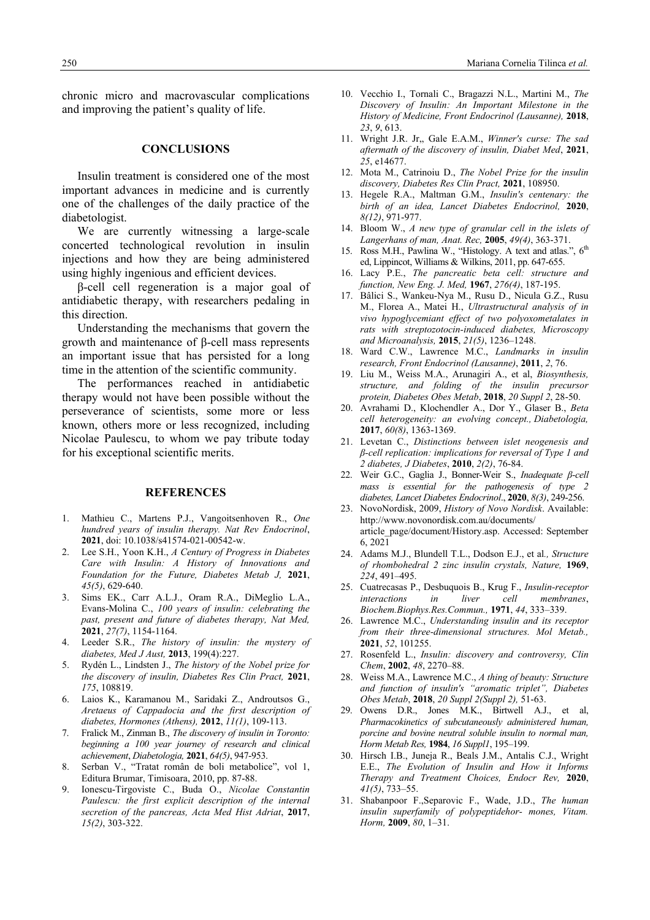chronic micro and macrovascular complications and improving the patient's quality of life.

### **CONCLUSIONS**

Insulin treatment is considered one of the most important advances in medicine and is currently one of the challenges of the daily practice of the diabetologist.

We are currently witnessing a large-scale concerted technological revolution in insulin injections and how they are being administered using highly ingenious and efficient devices.

β-cell cell regeneration is a major goal of antidiabetic therapy, with researchers pedaling in this direction.

Understanding the mechanisms that govern the growth and maintenance of β-cell mass represents an important issue that has persisted for a long time in the attention of the scientific community.

The performances reached in antidiabetic therapy would not have been possible without the perseverance of scientists, some more or less known, others more or less recognized, including Nicolae Paulescu, to whom we pay tribute today for his exceptional scientific merits.

#### **REFERENCES**

- 1. Mathieu C., Martens P.J., Vangoitsenhoven R., *One hundred years of insulin therapy. Nat Rev Endocrinol*, **2021**, doi: 10.1038/s41574-021-00542-w.
- 2. Lee S.H., Yoon K.H., *A Century of Progress in Diabetes Care with Insulin: A History of Innovations and Foundation for the Future, Diabetes Metab J,* **2021**, *45(5)*, 629-640.
- 3. Sims EK., Carr A.L.J., Oram R.A., DiMeglio L.A., Evans-Molina C., *100 years of insulin: celebrating the past, present and future of diabetes therapy, Nat Med,* **2021**, *27(7)*, 1154-1164.
- 4. Leeder S.R., *The history of insulin: the mystery of diabetes, Med J Aust,* **2013**, 199(4):227.
- 5. Rydén L., Lindsten J., *The history of the Nobel prize for the discovery of insulin, Diabetes Res Clin Pract,* **2021**, *175*, 108819.
- 6. Laios K., Karamanou M., Saridaki Z., Androutsos G., *Aretaeus of Cappadocia and the first description of diabetes, Hormones (Athens),* **2012**, *11(1)*, 109-113.
- 7. Fralick M., Zinman B., *The discovery of insulin in Toronto: beginning a 100 year journey of research and clinical achievement*, *Diabetologia,* **2021**, *64(5)*, 947-953.
- 8. Serban V., "Tratat român de boli metabolice", vol 1, Editura Brumar, Timisoara, 2010, pp. 87-88.
- 9. Ionescu-Tirgoviste C., Buda O., *Nicolae Constantin Paulescu: the first explicit description of the internal secretion of the pancreas, Acta Med Hist Adriat*, **2017**, *15(2)*, 303-322.
- 10. Vecchio I., Tornali C., Bragazzi N.L., Martini M., *The Discovery of Insulin: An Important Milestone in the History of Medicine, Front Endocrinol (Lausanne),* **2018**, *23*, *9*, 613.
- 11. Wright J.R. Jr,, Gale E.A.M., *Winner's curse: The sad aftermath of the discovery of insulin, Diabet Med*, **2021**, *25*, e14677.
- 12. Mota M., Catrinoiu D., *The Nobel Prize for the insulin discovery, Diabetes Res Clin Pract,* **2021**, 108950.
- 13. Hegele R.A., Maltman G.M., *Insulin's centenary: the birth of an idea, Lancet Diabetes Endocrinol,* **2020**, *8(12)*, 971-977.
- 14. Bloom W., *A new type of granular cell in the islets of Langerhans of man, Anat. Rec,* **2005**, *49(4)*, 363-371.
- 15. Ross M.H., Pawlina W., "Histology. A text and atlas.", 6<sup>th</sup> ed, Lippincot, Williams & Wilkins, 2011, pp. 647-655.
- 16. Lacy P.E., *The pancreatic beta cell: structure and function, New Eng. J. Med,* **1967**, *276(4)*, 187-195.
- 17. Bâlici S., Wankeu-Nya M., Rusu D., Nicula G.Z., Rusu M., Florea A., Matei H., *Ultrastructural analysis of in vivo hypoglycemiant effect of two polyoxometalates in rats with streptozotocin-induced diabetes, Microscopy and Microanalysis,* **2015**, *21(5)*, 1236–1248.
- 18. Ward C.W., Lawrence M.C., *Landmarks in insulin research, Front Endocrinol (Lausanne)*, **2011**, *2*, 76.
- 19. Liu M., Weiss M.A., Arunagiri A., et al, *Biosynthesis, structure, and folding of the insulin precursor protein, Diabetes Obes Metab*, **2018**, *20 Suppl 2*, 28-50.
- 20. Avrahami D., Klochendler A., Dor Y., Glaser B., *Beta cell heterogeneity: an evolving concept., Diabetologia,* **2017**, *60(8)*, 1363-1369.
- 21. Levetan C., *Distinctions between islet neogenesis and β-cell replication: implications for reversal of Type 1 and 2 diabetes, J Diabetes*, **2010**, *2(2)*, 76-84.
- 22. Weir G.C., Gaglia J., Bonner-Weir S., *Inadequate β-cell mass is essential for the pathogenesis of type 2 diabetes, Lancet Diabetes Endocrinol*., **2020**, *8(3)*, 249-256.
- 23. NovoNordisk, 2009, *History of Novo Nordisk*. Available: http://www.novonordisk.com.au/documents/ article\_page/document/History.asp. Accessed: September  $6, 2021$
- 24. Adams M.J., Blundell T.L., Dodson E.J., et al*., Structure of rhombohedral 2 zinc insulin crystals, Nature,* **1969**, *224*, 491–495.
- 25. Cuatrecasas P., Desbuquois B., Krug F., *Insulin-receptor interactions in liver cell membranes*, *Biochem.Biophys.Res.Commun.,* **1971**, *44*, 333–339.
- 26. Lawrence M.C., *Understanding insulin and its receptor from their three-dimensional structures. Mol Metab.,* **2021**, *52*, 101255.
- 27. Rosenfeld L., *Insulin: discovery and controversy, Clin Chem*, **2002**, *48*, 2270–88.
- 28. Weiss M.A., Lawrence M.C., *A thing of beauty: Structure and function of insulin's "aromatic triplet", Diabetes Obes Metab*, **2018**, *20 Suppl 2(Suppl 2),* 51-63.
- 29. Owens D.R., Jones M.K., Birtwell A.J., et al, *Pharmacokinetics of subcutaneously administered human, porcine and bovine neutral soluble insulin to normal man, Horm Metab Res,* **1984**, *16 Suppl1*, 195–199.
- 30. Hirsch I.B., Juneja R., Beals J.M., Antalis C.J., Wright E.E., *The Evolution of Insulin and How it Informs Therapy and Treatment Choices, Endocr Rev,* **2020**, *41(5)*, 733–55.
- 31. Shabanpoor F.,Separovic F., Wade, J.D., *The human insulin superfamily of polypeptidehor- mones, Vitam. Horm,* **2009**, *80*, 1–31.